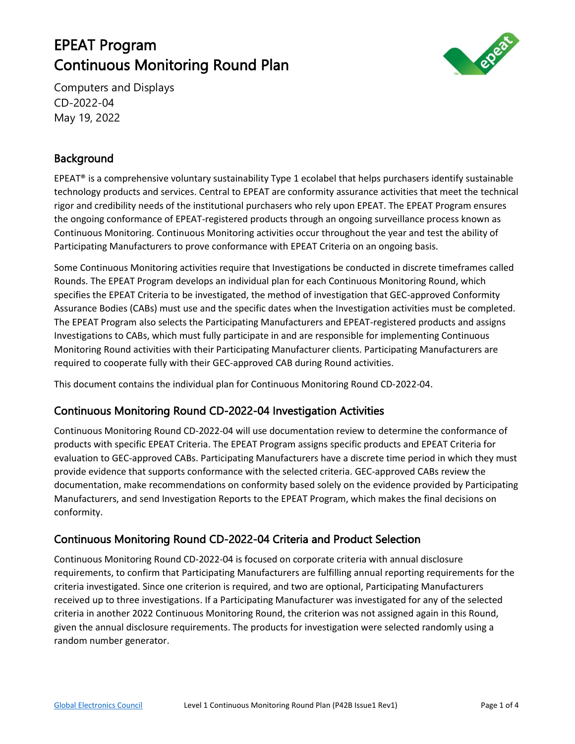# EPEAT Program Continuous Monitoring Round Plan



Computers and Displays CD-2022-04 May 19, 2022

## Background

EPEAT<sup>®</sup> is a comprehensive voluntary sustainability Type 1 ecolabel that helps purchasers identify sustainable technology products and services. Central to EPEAT are conformity assurance activities that meet the technical rigor and credibility needs of the institutional purchasers who rely upon EPEAT. The EPEAT Program ensures the ongoing conformance of EPEAT-registered products through an ongoing surveillance process known as Continuous Monitoring. Continuous Monitoring activities occur throughout the year and test the ability of Participating Manufacturers to prove conformance with EPEAT Criteria on an ongoing basis.

Some Continuous Monitoring activities require that Investigations be conducted in discrete timeframes called Rounds. The EPEAT Program develops an individual plan for each Continuous Monitoring Round, which specifies the EPEAT Criteria to be investigated, the method of investigation that GEC-approved Conformity Assurance Bodies (CABs) must use and the specific dates when the Investigation activities must be completed. The EPEAT Program also selects the Participating Manufacturers and EPEAT-registered products and assigns Investigations to CABs, which must fully participate in and are responsible for implementing Continuous Monitoring Round activities with their Participating Manufacturer clients. Participating Manufacturers are required to cooperate fully with their GEC-approved CAB during Round activities.

This document contains the individual plan for Continuous Monitoring Round CD-2022-04.

### Continuous Monitoring Round CD-2022-04 Investigation Activities

Continuous Monitoring Round CD-2022-04 will use documentation review to determine the conformance of products with specific EPEAT Criteria. The EPEAT Program assigns specific products and EPEAT Criteria for evaluation to GEC-approved CABs. Participating Manufacturers have a discrete time period in which they must provide evidence that supports conformance with the selected criteria. GEC-approved CABs review the documentation, make recommendations on conformity based solely on the evidence provided by Participating Manufacturers, and send Investigation Reports to the EPEAT Program, which makes the final decisions on conformity.

### Continuous Monitoring Round CD-2022-04 Criteria and Product Selection

Continuous Monitoring Round CD-2022-04 is focused on corporate criteria with annual disclosure requirements, to confirm that Participating Manufacturers are fulfilling annual reporting requirements for the criteria investigated. Since one criterion is required, and two are optional, Participating Manufacturers received up to three investigations. If a Participating Manufacturer was investigated for any of the selected criteria in another 2022 Continuous Monitoring Round, the criterion was not assigned again in this Round, given the annual disclosure requirements. The products for investigation were selected randomly using a random number generator.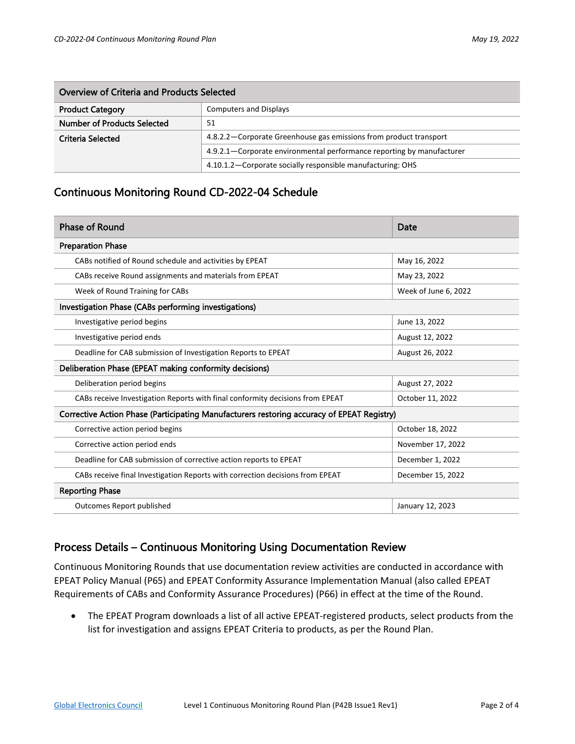| Overview of Criteria and Products Selected |                                                                       |  |  |  |
|--------------------------------------------|-----------------------------------------------------------------------|--|--|--|
| <b>Product Category</b>                    | <b>Computers and Displays</b>                                         |  |  |  |
| Number of Products Selected                | 51                                                                    |  |  |  |
| Criteria Selected                          | 4.8.2.2 – Corporate Greenhouse gas emissions from product transport   |  |  |  |
|                                            | 4.9.2.1—Corporate environmental performance reporting by manufacturer |  |  |  |
|                                            | 4.10.1.2 – Corporate socially responsible manufacturing: OHS          |  |  |  |

#### Continuous Monitoring Round CD-2022-04 Schedule

| <b>Phase of Round</b>                                                                      | Date                 |  |  |  |  |  |
|--------------------------------------------------------------------------------------------|----------------------|--|--|--|--|--|
| <b>Preparation Phase</b>                                                                   |                      |  |  |  |  |  |
| CABs notified of Round schedule and activities by EPEAT                                    | May 16, 2022         |  |  |  |  |  |
| CABs receive Round assignments and materials from EPEAT                                    | May 23, 2022         |  |  |  |  |  |
| Week of Round Training for CABs                                                            | Week of June 6, 2022 |  |  |  |  |  |
| Investigation Phase (CABs performing investigations)                                       |                      |  |  |  |  |  |
| Investigative period begins                                                                | June 13, 2022        |  |  |  |  |  |
| Investigative period ends                                                                  | August 12, 2022      |  |  |  |  |  |
| Deadline for CAB submission of Investigation Reports to EPEAT                              | August 26, 2022      |  |  |  |  |  |
| Deliberation Phase (EPEAT making conformity decisions)                                     |                      |  |  |  |  |  |
| Deliberation period begins                                                                 | August 27, 2022      |  |  |  |  |  |
| CABs receive Investigation Reports with final conformity decisions from EPEAT              | October 11, 2022     |  |  |  |  |  |
| Corrective Action Phase (Participating Manufacturers restoring accuracy of EPEAT Registry) |                      |  |  |  |  |  |
| Corrective action period begins                                                            | October 18, 2022     |  |  |  |  |  |
| Corrective action period ends                                                              | November 17, 2022    |  |  |  |  |  |
| Deadline for CAB submission of corrective action reports to EPEAT                          | December 1, 2022     |  |  |  |  |  |
| CABs receive final Investigation Reports with correction decisions from EPEAT              | December 15, 2022    |  |  |  |  |  |
| <b>Reporting Phase</b>                                                                     |                      |  |  |  |  |  |
| Outcomes Report published                                                                  | January 12, 2023     |  |  |  |  |  |

#### Process Details – Continuous Monitoring Using Documentation Review

Continuous Monitoring Rounds that use documentation review activities are conducted in accordance with EPEAT Policy Manual (P65) and EPEAT Conformity Assurance Implementation Manual (also called EPEAT Requirements of CABs and Conformity Assurance Procedures) (P66) in effect at the time of the Round.

• The EPEAT Program downloads a list of all active EPEAT-registered products, select products from the list for investigation and assigns EPEAT Criteria to products, as per the Round Plan.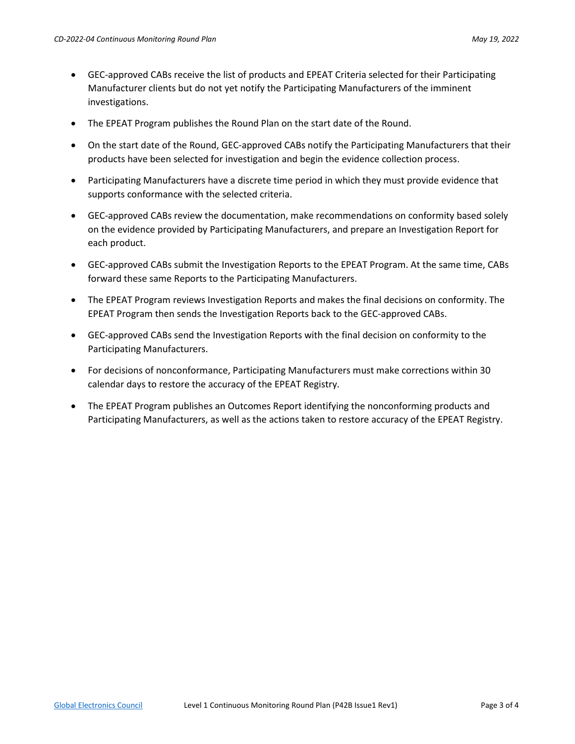- GEC-approved CABs receive the list of products and EPEAT Criteria selected for their Participating Manufacturer clients but do not yet notify the Participating Manufacturers of the imminent investigations.
- The EPEAT Program publishes the Round Plan on the start date of the Round.
- On the start date of the Round, GEC-approved CABs notify the Participating Manufacturers that their products have been selected for investigation and begin the evidence collection process.
- Participating Manufacturers have a discrete time period in which they must provide evidence that supports conformance with the selected criteria.
- GEC-approved CABs review the documentation, make recommendations on conformity based solely on the evidence provided by Participating Manufacturers, and prepare an Investigation Report for each product.
- GEC-approved CABs submit the Investigation Reports to the EPEAT Program. At the same time, CABs forward these same Reports to the Participating Manufacturers.
- The EPEAT Program reviews Investigation Reports and makes the final decisions on conformity. The EPEAT Program then sends the Investigation Reports back to the GEC-approved CABs.
- GEC-approved CABs send the Investigation Reports with the final decision on conformity to the Participating Manufacturers.
- For decisions of nonconformance, Participating Manufacturers must make corrections within 30 calendar days to restore the accuracy of the EPEAT Registry.
- The EPEAT Program publishes an Outcomes Report identifying the nonconforming products and Participating Manufacturers, as well as the actions taken to restore accuracy of the EPEAT Registry.